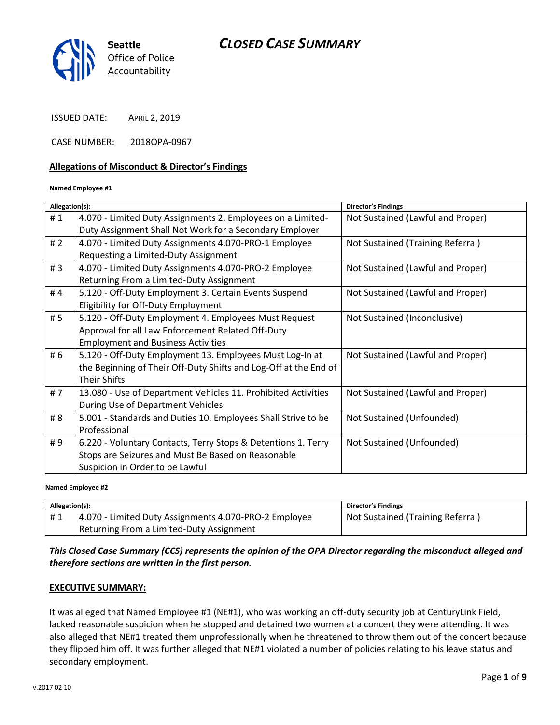

ISSUED DATE: APRIL 2, 2019

CASE NUMBER: 2018OPA-0967

#### **Allegations of Misconduct & Director's Findings**

#### **Named Employee #1**

| Allegation(s): |                                                                  | <b>Director's Findings</b>        |
|----------------|------------------------------------------------------------------|-----------------------------------|
| #1             | 4.070 - Limited Duty Assignments 2. Employees on a Limited-      | Not Sustained (Lawful and Proper) |
|                | Duty Assignment Shall Not Work for a Secondary Employer          |                                   |
| #2             | 4.070 - Limited Duty Assignments 4.070-PRO-1 Employee            | Not Sustained (Training Referral) |
|                | Requesting a Limited-Duty Assignment                             |                                   |
| #3             | 4.070 - Limited Duty Assignments 4.070-PRO-2 Employee            | Not Sustained (Lawful and Proper) |
|                | Returning From a Limited-Duty Assignment                         |                                   |
| #4             | 5.120 - Off-Duty Employment 3. Certain Events Suspend            | Not Sustained (Lawful and Proper) |
|                | Eligibility for Off-Duty Employment                              |                                   |
| # 5            | 5.120 - Off-Duty Employment 4. Employees Must Request            | Not Sustained (Inconclusive)      |
|                | Approval for all Law Enforcement Related Off-Duty                |                                   |
|                | <b>Employment and Business Activities</b>                        |                                   |
| # 6            | 5.120 - Off-Duty Employment 13. Employees Must Log-In at         | Not Sustained (Lawful and Proper) |
|                | the Beginning of Their Off-Duty Shifts and Log-Off at the End of |                                   |
|                | <b>Their Shifts</b>                                              |                                   |
| #7             | 13.080 - Use of Department Vehicles 11. Prohibited Activities    | Not Sustained (Lawful and Proper) |
|                | During Use of Department Vehicles                                |                                   |
| # 8            | 5.001 - Standards and Duties 10. Employees Shall Strive to be    | Not Sustained (Unfounded)         |
|                | Professional                                                     |                                   |
| #9             | 6.220 - Voluntary Contacts, Terry Stops & Detentions 1. Terry    | Not Sustained (Unfounded)         |
|                | Stops are Seizures and Must Be Based on Reasonable               |                                   |
|                | Suspicion in Order to be Lawful                                  |                                   |
|                |                                                                  |                                   |

#### **Named Employee #2**

| Allegation(s): |                                                       | <b>Director's Findings</b>        |
|----------------|-------------------------------------------------------|-----------------------------------|
| #1             | 4.070 - Limited Duty Assignments 4.070-PRO-2 Employee | Not Sustained (Training Referral) |
|                | Returning From a Limited-Duty Assignment              |                                   |

### *This Closed Case Summary (CCS) represents the opinion of the OPA Director regarding the misconduct alleged and therefore sections are written in the first person.*

#### **EXECUTIVE SUMMARY:**

It was alleged that Named Employee #1 (NE#1), who was working an off-duty security job at CenturyLink Field, lacked reasonable suspicion when he stopped and detained two women at a concert they were attending. It was also alleged that NE#1 treated them unprofessionally when he threatened to throw them out of the concert because they flipped him off. It was further alleged that NE#1 violated a number of policies relating to his leave status and secondary employment.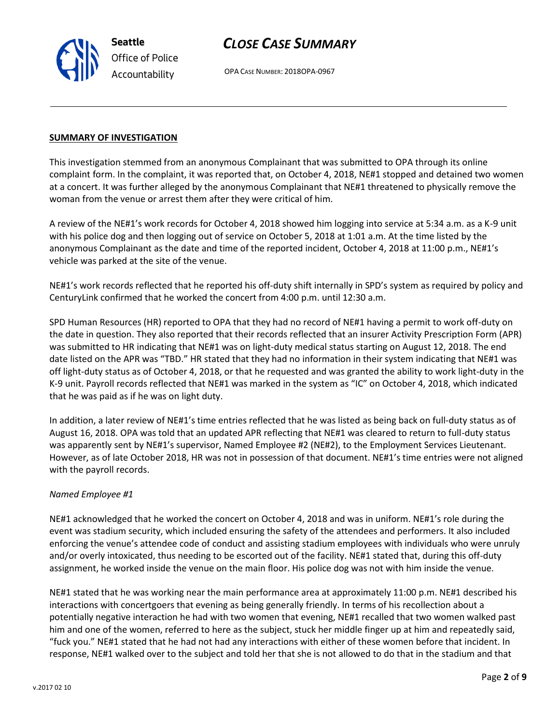

OPA CASE NUMBER: 2018OPA-0967

#### **SUMMARY OF INVESTIGATION**

This investigation stemmed from an anonymous Complainant that was submitted to OPA through its online complaint form. In the complaint, it was reported that, on October 4, 2018, NE#1 stopped and detained two women at a concert. It was further alleged by the anonymous Complainant that NE#1 threatened to physically remove the woman from the venue or arrest them after they were critical of him.

A review of the NE#1's work records for October 4, 2018 showed him logging into service at 5:34 a.m. as a K-9 unit with his police dog and then logging out of service on October 5, 2018 at 1:01 a.m. At the time listed by the anonymous Complainant as the date and time of the reported incident, October 4, 2018 at 11:00 p.m., NE#1's vehicle was parked at the site of the venue.

NE#1's work records reflected that he reported his off-duty shift internally in SPD's system as required by policy and CenturyLink confirmed that he worked the concert from 4:00 p.m. until 12:30 a.m.

SPD Human Resources (HR) reported to OPA that they had no record of NE#1 having a permit to work off-duty on the date in question. They also reported that their records reflected that an insurer Activity Prescription Form (APR) was submitted to HR indicating that NE#1 was on light-duty medical status starting on August 12, 2018. The end date listed on the APR was "TBD." HR stated that they had no information in their system indicating that NE#1 was off light-duty status as of October 4, 2018, or that he requested and was granted the ability to work light-duty in the K-9 unit. Payroll records reflected that NE#1 was marked in the system as "IC" on October 4, 2018, which indicated that he was paid as if he was on light duty.

In addition, a later review of NE#1's time entries reflected that he was listed as being back on full-duty status as of August 16, 2018. OPA was told that an updated APR reflecting that NE#1 was cleared to return to full-duty status was apparently sent by NE#1's supervisor, Named Employee #2 (NE#2), to the Employment Services Lieutenant. However, as of late October 2018, HR was not in possession of that document. NE#1's time entries were not aligned with the payroll records.

#### *Named Employee #1*

NE#1 acknowledged that he worked the concert on October 4, 2018 and was in uniform. NE#1's role during the event was stadium security, which included ensuring the safety of the attendees and performers. It also included enforcing the venue's attendee code of conduct and assisting stadium employees with individuals who were unruly and/or overly intoxicated, thus needing to be escorted out of the facility. NE#1 stated that, during this off-duty assignment, he worked inside the venue on the main floor. His police dog was not with him inside the venue.

NE#1 stated that he was working near the main performance area at approximately 11:00 p.m. NE#1 described his interactions with concertgoers that evening as being generally friendly. In terms of his recollection about a potentially negative interaction he had with two women that evening, NE#1 recalled that two women walked past him and one of the women, referred to here as the subject, stuck her middle finger up at him and repeatedly said, "fuck you." NE#1 stated that he had not had any interactions with either of these women before that incident. In response, NE#1 walked over to the subject and told her that she is not allowed to do that in the stadium and that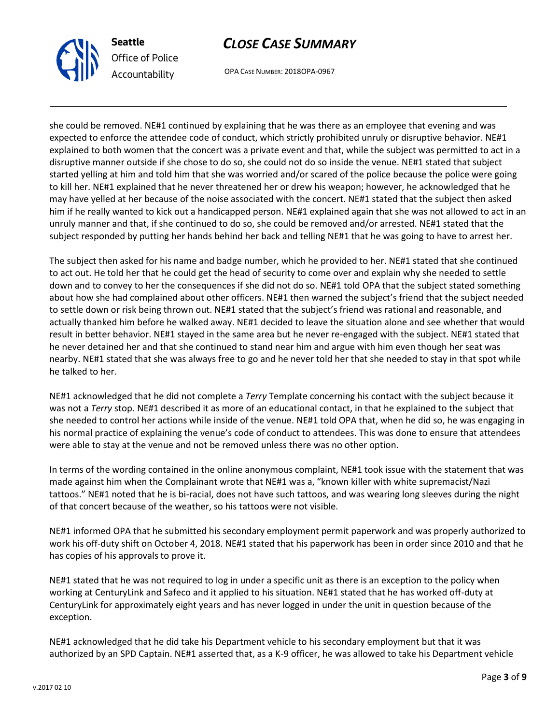

OPA CASE NUMBER: 2018OPA-0967

she could be removed. NE#1 continued by explaining that he was there as an employee that evening and was expected to enforce the attendee code of conduct, which strictly prohibited unruly or disruptive behavior. NE#1 explained to both women that the concert was a private event and that, while the subject was permitted to act in a disruptive manner outside if she chose to do so, she could not do so inside the venue. NE#1 stated that subject started yelling at him and told him that she was worried and/or scared of the police because the police were going to kill her. NE#1 explained that he never threatened her or drew his weapon; however, he acknowledged that he may have yelled at her because of the noise associated with the concert. NE#1 stated that the subject then asked him if he really wanted to kick out a handicapped person. NE#1 explained again that she was not allowed to act in an unruly manner and that, if she continued to do so, she could be removed and/or arrested. NE#1 stated that the subject responded by putting her hands behind her back and telling NE#1 that he was going to have to arrest her.

The subject then asked for his name and badge number, which he provided to her. NE#1 stated that she continued to act out. He told her that he could get the head of security to come over and explain why she needed to settle down and to convey to her the consequences if she did not do so. NE#1 told OPA that the subject stated something about how she had complained about other officers. NE#1 then warned the subject's friend that the subject needed to settle down or risk being thrown out. NE#1 stated that the subject's friend was rational and reasonable, and actually thanked him before he walked away. NE#1 decided to leave the situation alone and see whether that would result in better behavior. NE#1 stayed in the same area but he never re-engaged with the subject. NE#1 stated that he never detained her and that she continued to stand near him and argue with him even though her seat was nearby. NE#1 stated that she was always free to go and he never told her that she needed to stay in that spot while he talked to her.

NE#1 acknowledged that he did not complete a *Terry* Template concerning his contact with the subject because it was not a *Terry* stop. NE#1 described it as more of an educational contact, in that he explained to the subject that she needed to control her actions while inside of the venue. NE#1 told OPA that, when he did so, he was engaging in his normal practice of explaining the venue's code of conduct to attendees. This was done to ensure that attendees were able to stay at the venue and not be removed unless there was no other option.

In terms of the wording contained in the online anonymous complaint, NE#1 took issue with the statement that was made against him when the Complainant wrote that NE#1 was a, "known killer with white supremacist/Nazi tattoos." NE#1 noted that he is bi-racial, does not have such tattoos, and was wearing long sleeves during the night of that concert because of the weather, so his tattoos were not visible.

NE#1 informed OPA that he submitted his secondary employment permit paperwork and was properly authorized to work his off-duty shift on October 4, 2018. NE#1 stated that his paperwork has been in order since 2010 and that he has copies of his approvals to prove it.

NE#1 stated that he was not required to log in under a specific unit as there is an exception to the policy when working at CenturyLink and Safeco and it applied to his situation. NE#1 stated that he has worked off-duty at CenturyLink for approximately eight years and has never logged in under the unit in question because of the exception.

NE#1 acknowledged that he did take his Department vehicle to his secondary employment but that it was authorized by an SPD Captain. NE#1 asserted that, as a K-9 officer, he was allowed to take his Department vehicle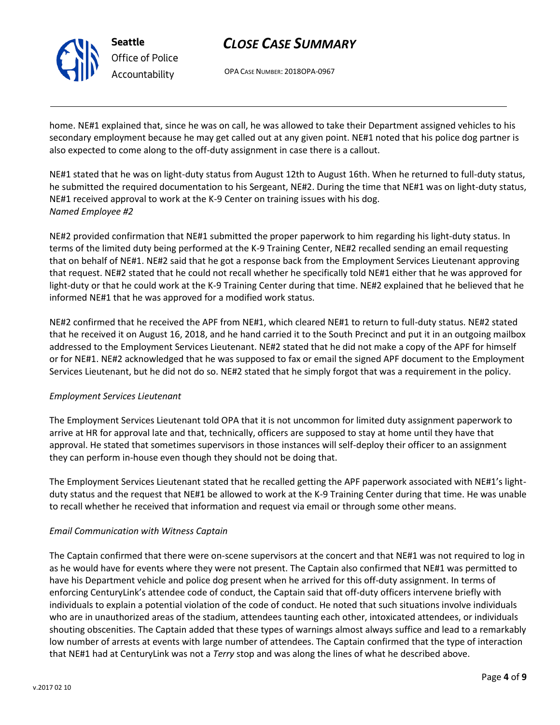

OPA CASE NUMBER: 2018OPA-0967

home. NE#1 explained that, since he was on call, he was allowed to take their Department assigned vehicles to his secondary employment because he may get called out at any given point. NE#1 noted that his police dog partner is also expected to come along to the off-duty assignment in case there is a callout.

NE#1 stated that he was on light-duty status from August 12th to August 16th. When he returned to full-duty status, he submitted the required documentation to his Sergeant, NE#2. During the time that NE#1 was on light-duty status, NE#1 received approval to work at the K-9 Center on training issues with his dog. *Named Employee #2*

NE#2 provided confirmation that NE#1 submitted the proper paperwork to him regarding his light-duty status. In terms of the limited duty being performed at the K-9 Training Center, NE#2 recalled sending an email requesting that on behalf of NE#1. NE#2 said that he got a response back from the Employment Services Lieutenant approving that request. NE#2 stated that he could not recall whether he specifically told NE#1 either that he was approved for light-duty or that he could work at the K-9 Training Center during that time. NE#2 explained that he believed that he informed NE#1 that he was approved for a modified work status.

NE#2 confirmed that he received the APF from NE#1, which cleared NE#1 to return to full-duty status. NE#2 stated that he received it on August 16, 2018, and he hand carried it to the South Precinct and put it in an outgoing mailbox addressed to the Employment Services Lieutenant. NE#2 stated that he did not make a copy of the APF for himself or for NE#1. NE#2 acknowledged that he was supposed to fax or email the signed APF document to the Employment Services Lieutenant, but he did not do so. NE#2 stated that he simply forgot that was a requirement in the policy.

### *Employment Services Lieutenant*

The Employment Services Lieutenant told OPA that it is not uncommon for limited duty assignment paperwork to arrive at HR for approval late and that, technically, officers are supposed to stay at home until they have that approval. He stated that sometimes supervisors in those instances will self-deploy their officer to an assignment they can perform in-house even though they should not be doing that.

The Employment Services Lieutenant stated that he recalled getting the APF paperwork associated with NE#1's lightduty status and the request that NE#1 be allowed to work at the K-9 Training Center during that time. He was unable to recall whether he received that information and request via email or through some other means.

### *Email Communication with Witness Captain*

The Captain confirmed that there were on-scene supervisors at the concert and that NE#1 was not required to log in as he would have for events where they were not present. The Captain also confirmed that NE#1 was permitted to have his Department vehicle and police dog present when he arrived for this off-duty assignment. In terms of enforcing CenturyLink's attendee code of conduct, the Captain said that off-duty officers intervene briefly with individuals to explain a potential violation of the code of conduct. He noted that such situations involve individuals who are in unauthorized areas of the stadium, attendees taunting each other, intoxicated attendees, or individuals shouting obscenities. The Captain added that these types of warnings almost always suffice and lead to a remarkably low number of arrests at events with large number of attendees. The Captain confirmed that the type of interaction that NE#1 had at CenturyLink was not a *Terry* stop and was along the lines of what he described above.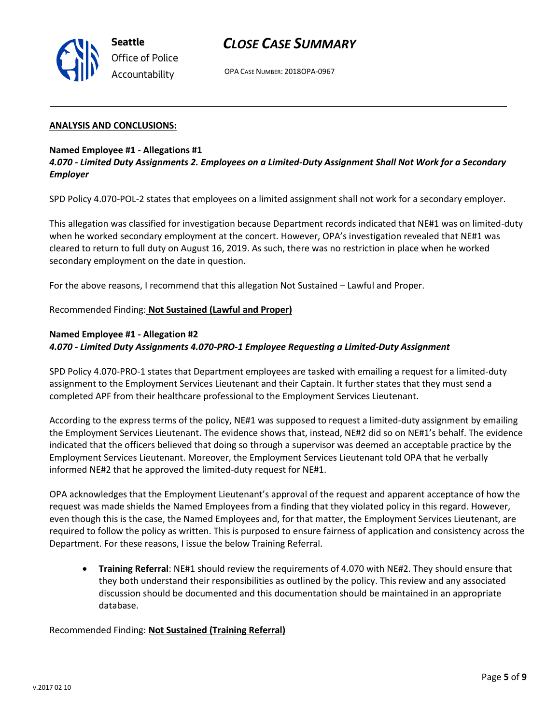

OPA CASE NUMBER: 2018OPA-0967

#### **ANALYSIS AND CONCLUSIONS:**

#### **Named Employee #1 - Allegations #1**

*4.070 - Limited Duty Assignments 2. Employees on a Limited-Duty Assignment Shall Not Work for a Secondary Employer*

SPD Policy 4.070-POL-2 states that employees on a limited assignment shall not work for a secondary employer.

This allegation was classified for investigation because Department records indicated that NE#1 was on limited-duty when he worked secondary employment at the concert. However, OPA's investigation revealed that NE#1 was cleared to return to full duty on August 16, 2019. As such, there was no restriction in place when he worked secondary employment on the date in question.

For the above reasons, I recommend that this allegation Not Sustained – Lawful and Proper.

#### Recommended Finding: **Not Sustained (Lawful and Proper)**

#### **Named Employee #1 - Allegation #2** *4.070 - Limited Duty Assignments 4.070-PRO-1 Employee Requesting a Limited-Duty Assignment*

SPD Policy 4.070-PRO-1 states that Department employees are tasked with emailing a request for a limited-duty assignment to the Employment Services Lieutenant and their Captain. It further states that they must send a completed APF from their healthcare professional to the Employment Services Lieutenant.

According to the express terms of the policy, NE#1 was supposed to request a limited-duty assignment by emailing the Employment Services Lieutenant. The evidence shows that, instead, NE#2 did so on NE#1's behalf. The evidence indicated that the officers believed that doing so through a supervisor was deemed an acceptable practice by the Employment Services Lieutenant. Moreover, the Employment Services Lieutenant told OPA that he verbally informed NE#2 that he approved the limited-duty request for NE#1.

OPA acknowledges that the Employment Lieutenant's approval of the request and apparent acceptance of how the request was made shields the Named Employees from a finding that they violated policy in this regard. However, even though this is the case, the Named Employees and, for that matter, the Employment Services Lieutenant, are required to follow the policy as written. This is purposed to ensure fairness of application and consistency across the Department. For these reasons, I issue the below Training Referral.

• **Training Referral**: NE#1 should review the requirements of 4.070 with NE#2. They should ensure that they both understand their responsibilities as outlined by the policy. This review and any associated discussion should be documented and this documentation should be maintained in an appropriate database.

Recommended Finding: **Not Sustained (Training Referral)**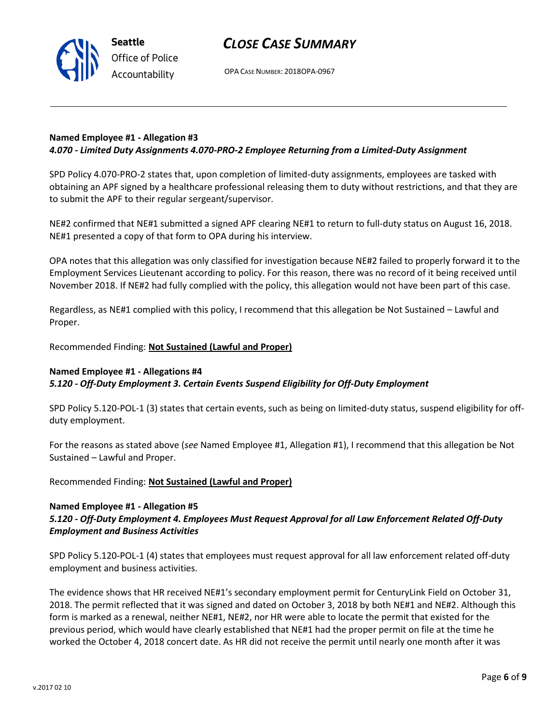

OPA CASE NUMBER: 2018OPA-0967

#### **Named Employee #1 - Allegation #3** *4.070 - Limited Duty Assignments 4.070-PRO-2 Employee Returning from a Limited-Duty Assignment*

SPD Policy 4.070-PRO-2 states that, upon completion of limited-duty assignments, employees are tasked with obtaining an APF signed by a healthcare professional releasing them to duty without restrictions, and that they are to submit the APF to their regular sergeant/supervisor.

NE#2 confirmed that NE#1 submitted a signed APF clearing NE#1 to return to full-duty status on August 16, 2018. NE#1 presented a copy of that form to OPA during his interview.

OPA notes that this allegation was only classified for investigation because NE#2 failed to properly forward it to the Employment Services Lieutenant according to policy. For this reason, there was no record of it being received until November 2018. If NE#2 had fully complied with the policy, this allegation would not have been part of this case.

Regardless, as NE#1 complied with this policy, I recommend that this allegation be Not Sustained – Lawful and Proper.

Recommended Finding: **Not Sustained (Lawful and Proper)**

### **Named Employee #1 - Allegations #4**

*5.120 - Off-Duty Employment 3. Certain Events Suspend Eligibility for Off-Duty Employment*

SPD Policy 5.120-POL-1 (3) states that certain events, such as being on limited-duty status, suspend eligibility for offduty employment.

For the reasons as stated above (*see* Named Employee #1, Allegation #1), I recommend that this allegation be Not Sustained – Lawful and Proper.

Recommended Finding: **Not Sustained (Lawful and Proper)**

#### **Named Employee #1 - Allegation #5**

### *5.120 - Off-Duty Employment 4. Employees Must Request Approval for all Law Enforcement Related Off-Duty Employment and Business Activities*

SPD Policy 5.120-POL-1 (4) states that employees must request approval for all law enforcement related off-duty employment and business activities.

The evidence shows that HR received NE#1's secondary employment permit for CenturyLink Field on October 31, 2018. The permit reflected that it was signed and dated on October 3, 2018 by both NE#1 and NE#2. Although this form is marked as a renewal, neither NE#1, NE#2, nor HR were able to locate the permit that existed for the previous period, which would have clearly established that NE#1 had the proper permit on file at the time he worked the October 4, 2018 concert date. As HR did not receive the permit until nearly one month after it was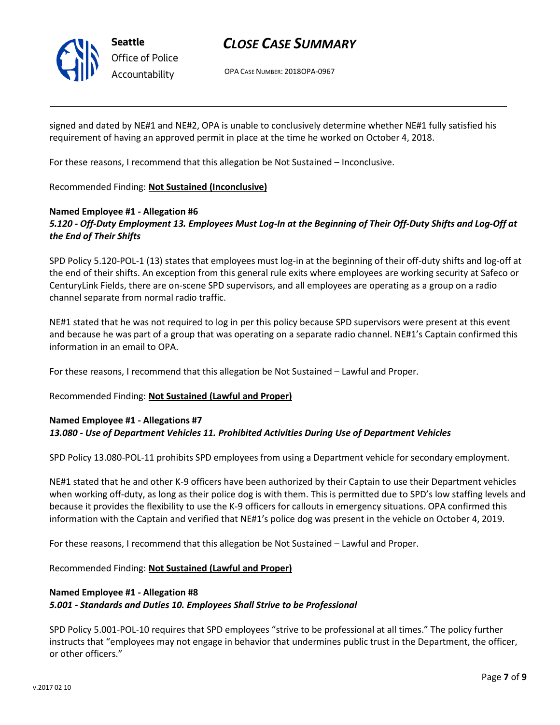

OPA CASE NUMBER: 2018OPA-0967

signed and dated by NE#1 and NE#2, OPA is unable to conclusively determine whether NE#1 fully satisfied his requirement of having an approved permit in place at the time he worked on October 4, 2018.

For these reasons, I recommend that this allegation be Not Sustained – Inconclusive.

Recommended Finding: **Not Sustained (Inconclusive)**

### **Named Employee #1 - Allegation #6** *5.120 - Off-Duty Employment 13. Employees Must Log-In at the Beginning of Their Off-Duty Shifts and Log-Off at the End of Their Shifts*

SPD Policy 5.120-POL-1 (13) states that employees must log-in at the beginning of their off-duty shifts and log-off at the end of their shifts. An exception from this general rule exits where employees are working security at Safeco or CenturyLink Fields, there are on-scene SPD supervisors, and all employees are operating as a group on a radio channel separate from normal radio traffic.

NE#1 stated that he was not required to log in per this policy because SPD supervisors were present at this event and because he was part of a group that was operating on a separate radio channel. NE#1's Captain confirmed this information in an email to OPA.

For these reasons, I recommend that this allegation be Not Sustained – Lawful and Proper.

Recommended Finding: **Not Sustained (Lawful and Proper)**

#### **Named Employee #1 - Allegations #7** *13.080 - Use of Department Vehicles 11. Prohibited Activities During Use of Department Vehicles*

SPD Policy 13.080-POL-11 prohibits SPD employees from using a Department vehicle for secondary employment.

NE#1 stated that he and other K-9 officers have been authorized by their Captain to use their Department vehicles when working off-duty, as long as their police dog is with them. This is permitted due to SPD's low staffing levels and because it provides the flexibility to use the K-9 officers for callouts in emergency situations. OPA confirmed this information with the Captain and verified that NE#1's police dog was present in the vehicle on October 4, 2019.

For these reasons, I recommend that this allegation be Not Sustained – Lawful and Proper.

Recommended Finding: **Not Sustained (Lawful and Proper)**

### **Named Employee #1 - Allegation #8** *5.001 - Standards and Duties 10. Employees Shall Strive to be Professional*

SPD Policy 5.001-POL-10 requires that SPD employees "strive to be professional at all times." The policy further instructs that "employees may not engage in behavior that undermines public trust in the Department, the officer, or other officers."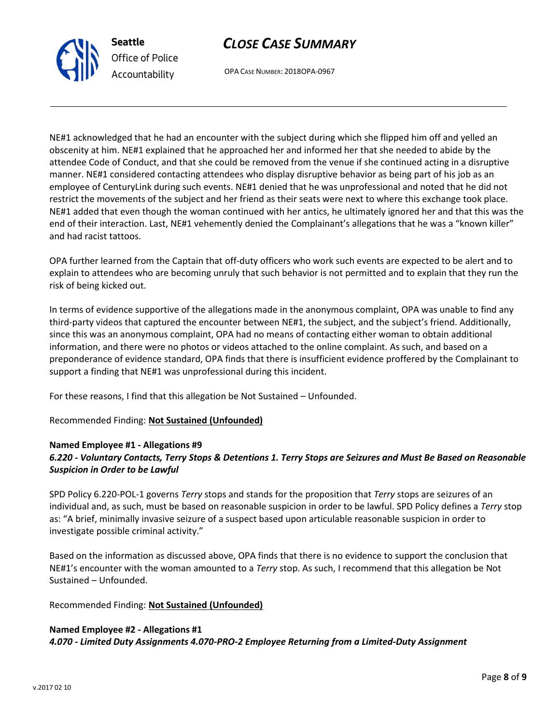

OPA CASE NUMBER: 2018OPA-0967

NE#1 acknowledged that he had an encounter with the subject during which she flipped him off and yelled an obscenity at him. NE#1 explained that he approached her and informed her that she needed to abide by the attendee Code of Conduct, and that she could be removed from the venue if she continued acting in a disruptive manner. NE#1 considered contacting attendees who display disruptive behavior as being part of his job as an employee of CenturyLink during such events. NE#1 denied that he was unprofessional and noted that he did not restrict the movements of the subject and her friend as their seats were next to where this exchange took place. NE#1 added that even though the woman continued with her antics, he ultimately ignored her and that this was the end of their interaction. Last, NE#1 vehemently denied the Complainant's allegations that he was a "known killer" and had racist tattoos.

OPA further learned from the Captain that off-duty officers who work such events are expected to be alert and to explain to attendees who are becoming unruly that such behavior is not permitted and to explain that they run the risk of being kicked out.

In terms of evidence supportive of the allegations made in the anonymous complaint, OPA was unable to find any third-party videos that captured the encounter between NE#1, the subject, and the subject's friend. Additionally, since this was an anonymous complaint, OPA had no means of contacting either woman to obtain additional information, and there were no photos or videos attached to the online complaint. As such, and based on a preponderance of evidence standard, OPA finds that there is insufficient evidence proffered by the Complainant to support a finding that NE#1 was unprofessional during this incident.

For these reasons, I find that this allegation be Not Sustained – Unfounded.

Recommended Finding: **Not Sustained (Unfounded)**

### **Named Employee #1 - Allegations #9**

**Seattle**

*Office of Police Accountability*

### *6.220 - Voluntary Contacts, Terry Stops & Detentions 1. Terry Stops are Seizures and Must Be Based on Reasonable Suspicion in Order to be Lawful*

SPD Policy 6.220-POL-1 governs *Terry* stops and stands for the proposition that *Terry* stops are seizures of an individual and, as such, must be based on reasonable suspicion in order to be lawful. SPD Policy defines a *Terry* stop as: "A brief, minimally invasive seizure of a suspect based upon articulable reasonable suspicion in order to investigate possible criminal activity."

Based on the information as discussed above, OPA finds that there is no evidence to support the conclusion that NE#1's encounter with the woman amounted to a *Terry* stop. As such, I recommend that this allegation be Not Sustained – Unfounded.

#### Recommended Finding: **Not Sustained (Unfounded)**

#### **Named Employee #2 - Allegations #1**

*4.070 - Limited Duty Assignments 4.070-PRO-2 Employee Returning from a Limited-Duty Assignment*